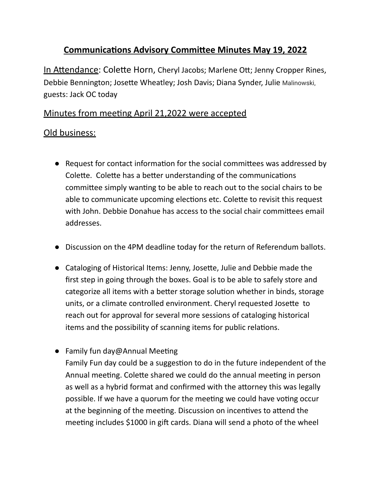## **Communications Advisory Committee Minutes May 19, 2022**

In Attendance: Colette Horn, Cheryl Jacobs; Marlene Ott; Jenny Cropper Rines, Debbie Bennington; Josette Wheatley; Josh Davis; Diana Synder, Julie Malinowski, guests: Jack OC today

## Minutes from meeting April 21,2022 were accepted

## Old business:

- $\bullet$  Request for contact information for the social committees was addressed by Colette. Colette has a better understanding of the communications committee simply wanting to be able to reach out to the social chairs to be able to communicate upcoming elections etc. Colette to revisit this request with John. Debbie Donahue has access to the social chair committees email addresses.
- Discussion on the 4PM deadline today for the return of Referendum ballots.
- Cataloging of Historical Items: Jenny, Josette, Julie and Debbie made the first step in going through the boxes. Goal is to be able to safely store and categorize all items with a better storage solution whether in binds, storage units, or a climate controlled environment. Cheryl requested Josette to reach out for approval for several more sessions of cataloging historical items and the possibility of scanning items for public relations.
- Family fun day@Annual Meeting

Family Fun day could be a suggestion to do in the future independent of the Annual meeting. Colette shared we could do the annual meeting in person as well as a hybrid format and confirmed with the attorney this was legally possible. If we have a quorum for the meeting we could have voting occur at the beginning of the meeting. Discussion on incentives to attend the meeting includes \$1000 in gift cards. Diana will send a photo of the wheel